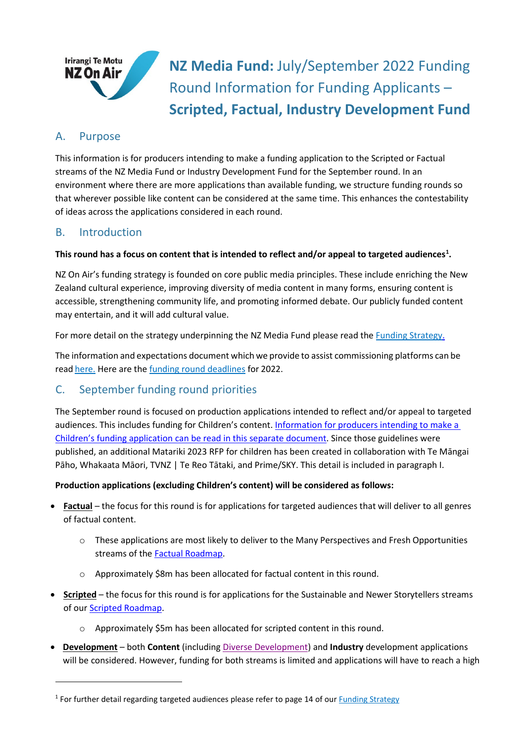

**NZ Media Fund:** July/September 2022 Funding Round Information for Funding Applicants – **Scripted, Factual, Industry Development Fund**

## A. Purpose

This information is for producers intending to make a funding application to the Scripted or Factual streams of the NZ Media Fund or Industry Development Fund for the September round. In an environment where there are more applications than available funding, we structure funding rounds so that wherever possible like content can be considered at the same time. This enhances the contestability of ideas across the applications considered in each round.

## B. Introduction

### **This round has a focus on content that is intended to reflect and/or appeal to targeted audiences[1](#page-0-0) .**

NZ On Air's funding strategy is founded on core public media principles. These include enriching the New Zealand cultural experience, improving diversity of media content in many forms, ensuring content is accessible, strengthening community life, and promoting informed debate. Our publicly funded content may entertain, and it will add cultural value.

For more detail on the strategy underpinning the NZ Media Fund please read the [Funding Strategy.](https://www.nzonair.govt.nz/documents/34/Funding_Strategy_for_website_updated_12_June_17_FINAL.pdf)

The information and expectations document which we provide to assist commissioning platforms can be read [here.](https://www.nzonair.govt.nz/documents/32/Information_for_commission_platforms_LtN5GCJ.pdf) Here are the [funding round deadlines](https://www.nzonair.govt.nz/documents/716/2022-23_Deadlines__Meeting_Dates_4rPvl5J_oLyfWTg.pdf) for 2022.

# C. September funding round priorities

The September round is focused on production applications intended to reflect and/or appeal to targeted audiences. This includes funding for Children's content. [Information for producers intending](https://www.nzonair.govt.nz/documents/827/Childrens_Round_Guidelines_2022-23.pdf) to make a Children's funding application [can be read in this separate document.](https://www.nzonair.govt.nz/documents/827/Childrens_Round_Guidelines_2022-23.pdf) Since those guidelines were published, an additional Matariki 2023 RFP for children has been created in collaboration with Te Māngai Pāho, Whakaata Māori, TVNZ | Te Reo Tātaki, and Prime/SKY. This detail is included in paragraph I.

#### **Production applications (excluding Children's content) will be considered as follows:**

- **Factual** the focus for this round is for applications for targeted audiences that will deliver to all genres of factual content.
	- o These applications are most likely to deliver to the Many Perspectives and Fresh Opportunities streams of the [Factual Roadmap.](https://www.nzonair.govt.nz/documents/437/NZ_On_Airs_Factual_Roadmap_FINAL_XENdJFT.pdf)
	- o Approximately \$8m has been allocated for factual content in this round.
- **Scripted** the focus for this round is for applications for the Sustainable and Newer Storytellers streams of our Scripted [Roadmap.](https://www.nzonair.govt.nz/documents/35/NZ_On_Airs_Scripted_Roadmap_Final.pdf)
	- o Approximately \$5m has been allocated for scripted content in this round.
- **Development** both **Content** (including [Diverse Development\)](https://d3r9t6niqlb7tz.cloudfront.net/media/documents/Diverse_Development_Initiative_for_website.pdf) and **Industry** development applications will be considered. However, funding for both streams is limited and applications will have to reach a high

<span id="page-0-0"></span><sup>&</sup>lt;sup>1</sup> For further detail regarding targeted audiences please refer to page 14 of ou[r Funding Strategy](https://d3r9t6niqlb7tz.cloudfront.net/media/documents/Funding_Strategy_for_website_updated_12_June_17_FINAL_R5jug19.pdf)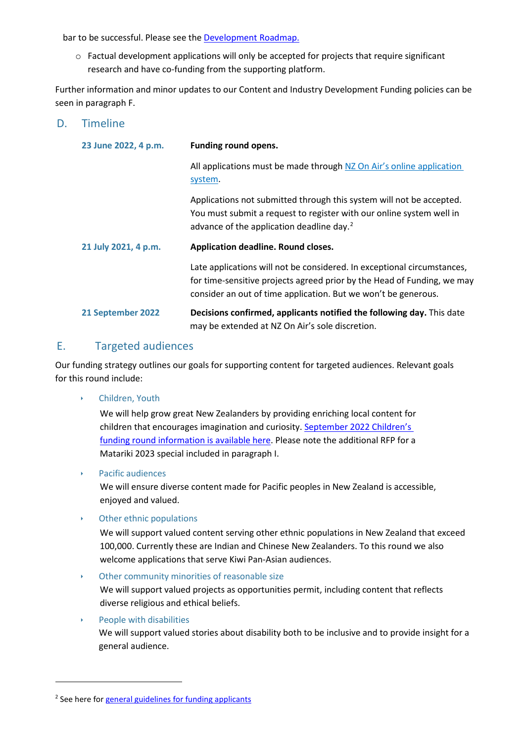bar to be successful. Please see the **Development Roadmap.** 

 $\circ$  Factual development applications will only be accepted for projects that require significant research and have co-funding from the supporting platform.

Further information and minor updates to our Content and Industry Development Funding policies can be seen in paragraph F.

### D. Timeline

| 23 June 2022, 4 p.m. | <b>Funding round opens.</b>                                                                                                                                                                                          |
|----------------------|----------------------------------------------------------------------------------------------------------------------------------------------------------------------------------------------------------------------|
|                      | All applications must be made through NZ On Air's online application<br>system.                                                                                                                                      |
|                      | Applications not submitted through this system will not be accepted.<br>You must submit a request to register with our online system well in<br>advance of the application deadline day. <sup>2</sup>                |
| 21 July 2021, 4 p.m. | Application deadline. Round closes.                                                                                                                                                                                  |
|                      |                                                                                                                                                                                                                      |
|                      | Late applications will not be considered. In exceptional circumstances,<br>for time-sensitive projects agreed prior by the Head of Funding, we may<br>consider an out of time application. But we won't be generous. |

### E. Targeted audiences

Our funding strategy outlines our goals for supporting content for targeted audiences. Relevant goals for this round include:

‣ Children, Youth

We will help grow great New Zealanders by providing enriching local content for children that encourages imagination and curiosity. [September 2022 Children's](https://www.nzonair.govt.nz/documents/827/Childrens_Round_Guidelines_2022-23.pdf)  [funding round information is available here.](https://www.nzonair.govt.nz/documents/827/Childrens_Round_Guidelines_2022-23.pdf) Please note the additional RFP for a Matariki 2023 special included in paragraph I.

‣ Pacific audiences

We will ensure diverse content made for Pacific peoples in New Zealand is accessible, enjoyed and valued.

‣ Other ethnic populations

We will support valued content serving other ethnic populations in New Zealand that exceed 100,000. Currently these are Indian and Chinese New Zealanders. To this round we also welcome applications that serve Kiwi Pan-Asian audiences.

‣ Other community minorities of reasonable size

We will support valued projects as opportunities permit, including content that reflects diverse religious and ethical beliefs.

‣ People with disabilities

We will support valued stories about disability both to be inclusive and to provide insight for a general audience.

<span id="page-1-0"></span><sup>&</sup>lt;sup>2</sup> See here for [general guidelines for funding applicants](https://d3r9t6niqlb7tz.cloudfront.net/media/documents/General_Guidelines_KHF7gBi_ldUTK2m.pdf)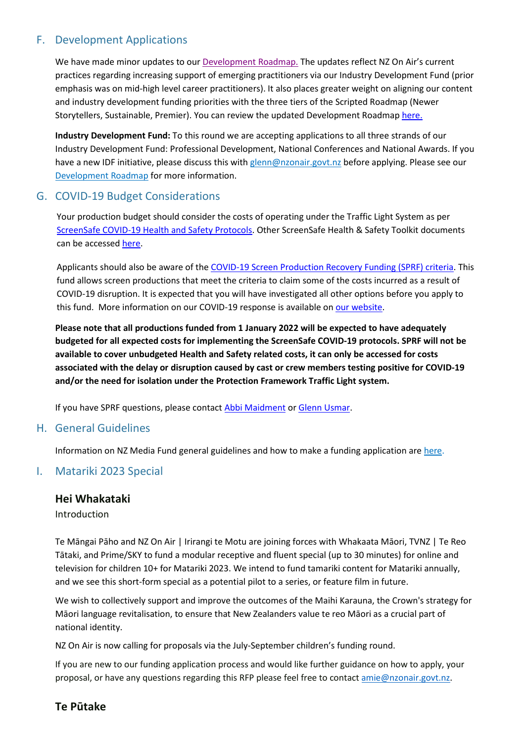## F. Development Applications

We have made minor updates to our [Development Roadmap.](https://www.nzonair.govt.nz/documents/19/220327_Development_Roadmap_updated.pdf) The updates reflect NZ On Air's current practices regarding increasing support of emerging practitioners via our Industry Development Fund (prior emphasis was on mid-high level career practitioners). It also places greater weight on aligning our content and industry development funding priorities with the three tiers of the Scripted Roadmap (Newer Storytellers, Sustainable, Premier). You can review the updated Development Roadmap [here.](https://www.nzonair.govt.nz/documents/19/220327_Development_Roadmap_updated.pdf)

**Industry Development Fund:** To this round we are accepting applications to all three strands of our Industry Development Fund: Professional Development, National Conferences and National Awards. If you have a new IDF initiative, please discuss this with [glenn@nzonair.govt.nz](mailto:glenn@nzonair.govt.nz) before applying. Please see our [Development Roadmap](https://d3r9t6niqlb7tz.cloudfront.net/media/documents/Development_Roadmap_Final_Dec_18.pdf) for more information.

## G. COVID-19 Budget Considerations

Your production budget should consider the costs of operating under the Traffic Light System as per ScreenSafe COVID[-19 Health and Safety Protocols.](https://screenguild.co.nz/resources/ScreenSafe%20COVID-19_Protocols%203.1.pdf) Other ScreenSafe Health & Safety Toolkit documents can be accesse[d here.](https://screensafe.co.nz/covid19/screensafe-health-safety-toolkits-documents/)

Applicants should also be aware of the COVID-19 Screen Production Recovery [Funding \(SPRF\) criteria.](https://www.nzonair.govt.nz/documents/796/COVID-19_SPRF_criteria_Mar_22.pdf) This fund allows screen productions that meet the criteria to claim some of the costs incurred as a result of COVID-19 disruption. It is expected that you will have investigated all other options before you apply to this fund. More information on our COVID-19 response is available on [our website.](https://www.nzonair.govt.nz/news/responding-covid-19/)

**Please note that all productions funded from 1 January 2022 will be expected to have adequately budgeted for all expected costs for implementing the ScreenSafe COVID-19 protocols. SPRF will not be available to cover unbudgeted Health and Safety related costs, it can only be accessed for costs associated with the delay or disruption caused by cast or crew members testing positive for COVID-19 and/or the need for isolation under the Protection Framework Traffic Light system.**

If you have SPRF questions, please contac[t Abbi Maidment](mailto:Abbi%20Maidment%20%3cabbi@nzonair.govt.nz%3e) or [Glenn Usmar.](mailto:Glenn%20Usmar%20%3cglenn@nzonair.govt.nz%3e)

### H. General Guidelines

Information on NZ Media Fund general guidelines and how to make a funding application are [here.](https://www.nzonair.govt.nz/documents/37/General_Guidelines_KHF7gBi.pdf)

### I. Matariki 2023 Special

#### **Hei Whakataki**

Introduction

Te Māngai Pāho and NZ On Air | Irirangi te Motu are joining forces with Whakaata Māori, TVNZ | Te Reo Tātaki, and Prime/SKY to fund a modular receptive and fluent special (up to 30 minutes) for online and television for children 10+ for Matariki 2023. We intend to fund tamariki content for Matariki annually, and we see this short-form special as a potential pilot to a series, or feature film in future.

We wish to collectively support and improve the outcomes of the Maihi Karauna, the Crown's strategy for Māori language revitalisation, to ensure that New Zealanders value te reo Māori as a crucial part of national identity.

NZ On Air is now calling for proposals via the July-September children's funding round.

If you are new to our funding application process and would like further guidance on how to apply, your proposal, or have any questions regarding this RFP please feel free to contact [amie@nzonair.govt.nz.](mailto:amie@nzonair.govt.nz)

### **Te Pūtake**